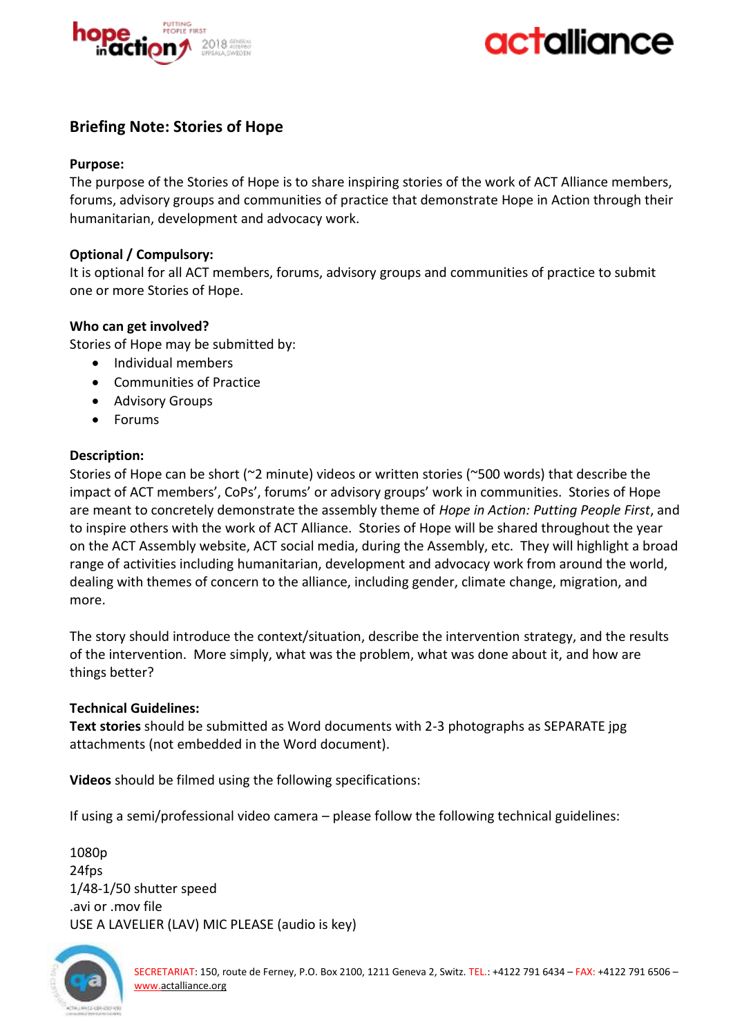



# **Briefing Note: Stories of Hope**

## **Purpose:**

The purpose of the Stories of Hope is to share inspiring stories of the work of ACT Alliance members, forums, advisory groups and communities of practice that demonstrate Hope in Action through their humanitarian, development and advocacy work.

### **Optional / Compulsory:**

It is optional for all ACT members, forums, advisory groups and communities of practice to submit one or more Stories of Hope.

## **Who can get involved?**

Stories of Hope may be submitted by:

- Individual members
- Communities of Practice
- Advisory Groups
- Forums

## **Description:**

Stories of Hope can be short (~2 minute) videos or written stories (~500 words) that describe the impact of ACT members', CoPs', forums' or advisory groups' work in communities. Stories of Hope are meant to concretely demonstrate the assembly theme of *Hope in Action: Putting People First*, and to inspire others with the work of ACT Alliance. Stories of Hope will be shared throughout the year on the ACT Assembly website, ACT social media, during the Assembly, etc. They will highlight a broad range of activities including humanitarian, development and advocacy work from around the world, dealing with themes of concern to the alliance, including gender, climate change, migration, and more.

The story should introduce the context/situation, describe the intervention strategy, and the results of the intervention. More simply, what was the problem, what was done about it, and how are things better?

## **Technical Guidelines:**

**Text stories** should be submitted as Word documents with 2-3 photographs as SEPARATE jpg attachments (not embedded in the Word document).

**Videos** should be filmed using the following specifications:

If using a semi/professional video camera – please follow the following technical guidelines:

1080p 24fps 1/48-1/50 shutter speed .avi or .mov file USE A LAVELIER (LAV) MIC PLEASE (audio is key)